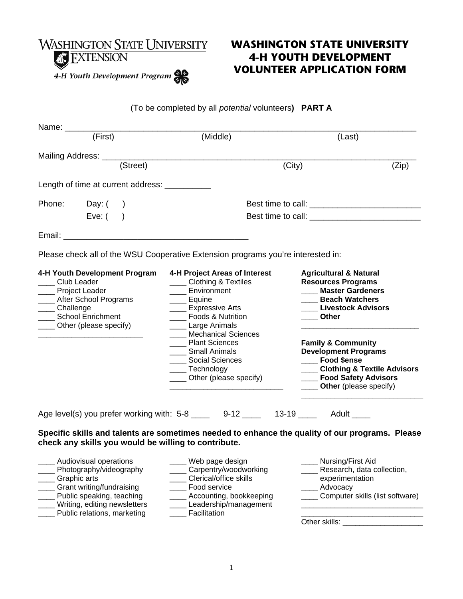

\_\_\_\_ Writing, editing newsletters \_\_\_\_ Public relations, marketing

# **WASHINGTON STATE UNIVERSITY 4-H YOUTH DEVELOPMENT VOLUNTEER APPLICATION FORM**

#### (To be completed by all *potential* volunteers**) PART A**

|                              | Name: (First)                                                                                                                          | (Middle)                                                                                                                                                                                                                                                                                           | (Last)                                                                                                                                                                                                                                                                                                                                                    |
|------------------------------|----------------------------------------------------------------------------------------------------------------------------------------|----------------------------------------------------------------------------------------------------------------------------------------------------------------------------------------------------------------------------------------------------------------------------------------------------|-----------------------------------------------------------------------------------------------------------------------------------------------------------------------------------------------------------------------------------------------------------------------------------------------------------------------------------------------------------|
|                              |                                                                                                                                        | Mailing Address: (Street)                                                                                                                                                                                                                                                                          | (City)<br>(Zip)                                                                                                                                                                                                                                                                                                                                           |
|                              | Length of time at current address: __________                                                                                          |                                                                                                                                                                                                                                                                                                    |                                                                                                                                                                                                                                                                                                                                                           |
|                              | Phone: Day: ()                                                                                                                         |                                                                                                                                                                                                                                                                                                    |                                                                                                                                                                                                                                                                                                                                                           |
|                              | Eve: $($ )                                                                                                                             |                                                                                                                                                                                                                                                                                                    |                                                                                                                                                                                                                                                                                                                                                           |
|                              |                                                                                                                                        |                                                                                                                                                                                                                                                                                                    |                                                                                                                                                                                                                                                                                                                                                           |
|                              |                                                                                                                                        | Please check all of the WSU Cooperative Extension programs you're interested in:                                                                                                                                                                                                                   |                                                                                                                                                                                                                                                                                                                                                           |
| Club Leader<br>____Challenge | 4-H Youth Development Program<br>Project Leader<br>__ After School Programs<br><b>School Enrichment</b><br>____ Other (please specify) | 4-H Project Areas of Interest<br>_____ Clothing & Textiles<br>Environment<br>Equine<br><b>Expressive Arts</b><br>Foods & Nutrition<br>____ Large Animals<br>Mechanical Sciences<br>___ Plant Sciences<br>____ Small Animals<br><b>Social Sciences</b><br>Technology<br>____ Other (please specify) | <b>Agricultural &amp; Natural</b><br><b>Resources Programs</b><br>___ Master Gardeners<br><b>Beach Watchers</b><br><b>Livestock Advisors</b><br><b>Other</b><br><b>Family &amp; Community</b><br><b>Development Programs</b><br><b>Food \$ense</b><br><b>Clothing &amp; Textile Advisors</b><br>___ Food Safety Advisors<br><b>Other</b> (please specify) |
|                              |                                                                                                                                        | Age level(s) you prefer working with: 5-8 ____ 9-12 ___ 13-19 ___ Adult ___                                                                                                                                                                                                                        |                                                                                                                                                                                                                                                                                                                                                           |
|                              | check any skills you would be willing to contribute.                                                                                   |                                                                                                                                                                                                                                                                                                    | Specific skills and talents are sometimes needed to enhance the quality of our programs. Please                                                                                                                                                                                                                                                           |
| ____ Graphic arts            | _ Audiovisual operations<br>____ Photography/videography<br>Grant writing/fundraising<br>Public speaking, teaching                     | ___ Web page design<br>Carpentry/woodworking<br>____ Clerical/office skills<br>Food service<br>____ Accounting, bookkeeping                                                                                                                                                                        | ____ Nursing/First Aid<br>____ Research, data collection,<br>experimentation<br>____ Advocacy<br>____ Computer skills (list software)                                                                                                                                                                                                                     |

Other skills: \_\_\_\_\_\_\_\_\_\_\_\_\_\_\_\_\_\_\_

\_\_\_\_\_\_\_\_\_\_\_\_\_\_\_\_\_\_\_\_\_\_\_\_\_\_\_\_\_

\_\_\_\_ Leadership/management

\_\_\_\_ Facilitation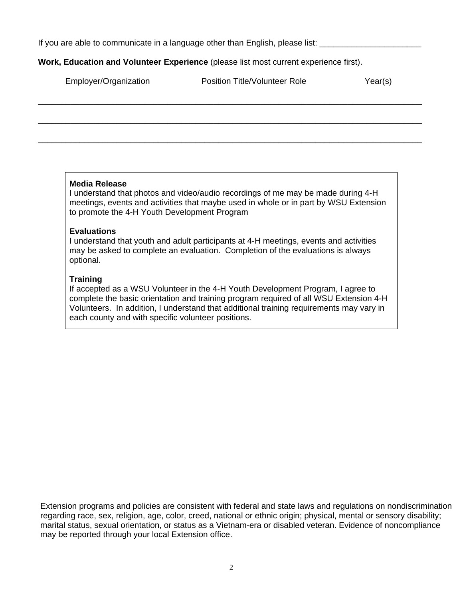If you are able to communicate in a language other than English, please list:

#### **Work, Education and Volunteer Experience** (please list most current experience first).

| Employer/Organization | <b>Position Title/Volunteer Role</b> | Year(s) |
|-----------------------|--------------------------------------|---------|
|                       |                                      |         |
|                       |                                      |         |
|                       |                                      |         |

#### **Media Release**

I understand that photos and video/audio recordings of me may be made during 4-H meetings, events and activities that maybe used in whole or in part by WSU Extension to promote the 4-H Youth Development Program

#### **Evaluations**

I understand that youth and adult participants at 4-H meetings, events and activities may be asked to complete an evaluation. Completion of the evaluations is always optional.

#### **Training**

If accepted as a WSU Volunteer in the 4-H Youth Development Program, I agree to complete the basic orientation and training program required of all WSU Extension 4-H Volunteers. In addition, I understand that additional training requirements may vary in each county and with specific volunteer positions.

Extension programs and policies are consistent with federal and state laws and regulations on nondiscrimination regarding race, sex, religion, age, color, creed, national or ethnic origin; physical, mental or sensory disability; marital status, sexual orientation, or status as a Vietnam-era or disabled veteran. Evidence of noncompliance may be reported through your local Extension office.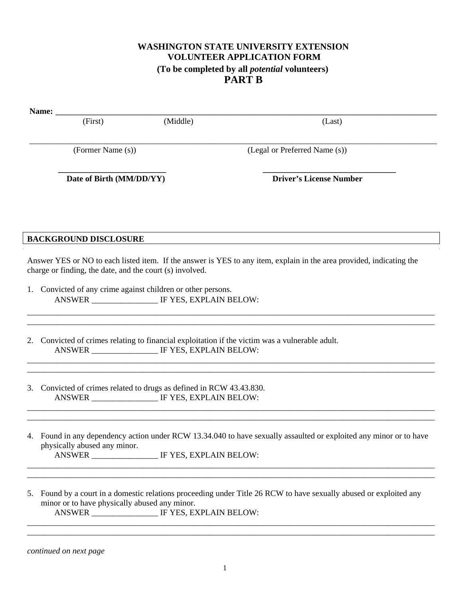### **WASHINGTON STATE UNIVERSITY EXTENSION VOLUNTEER APPLICATION FORM (To be completed by all** *potential* **volunteers) PART B**

| Name: $\frac{1}{\sqrt{1-\frac{1}{2}}\cdot\frac{1}{\sqrt{1-\frac{1}{2}}}}$ |                                                                      |                                                                                                                                                                                                         |
|---------------------------------------------------------------------------|----------------------------------------------------------------------|---------------------------------------------------------------------------------------------------------------------------------------------------------------------------------------------------------|
| (First)                                                                   | (Middle)                                                             | (Last)                                                                                                                                                                                                  |
| (Former Name (s))                                                         |                                                                      | (Legal or Preferred Name (s))                                                                                                                                                                           |
| Date of Birth (MM/DD/YY)                                                  |                                                                      | <b>Driver's License Number</b>                                                                                                                                                                          |
|                                                                           |                                                                      |                                                                                                                                                                                                         |
| <b>BACKGROUND DISCLOSURE</b>                                              |                                                                      |                                                                                                                                                                                                         |
| charge or finding, the date, and the court (s) involved.                  |                                                                      | Answer YES or NO to each listed item. If the answer is YES to any item, explain in the area provided, indicating the                                                                                    |
|                                                                           | 1. Convicted of any crime against children or other persons.         |                                                                                                                                                                                                         |
|                                                                           | ANSWER _________________ IF YES, EXPLAIN BELOW:                      | 2. Convicted of crimes relating to financial exploitation if the victim was a vulnerable adult.                                                                                                         |
|                                                                           | 3. Convicted of crimes related to drugs as defined in RCW 43.43.830. |                                                                                                                                                                                                         |
| physically abused any minor.                                              | ANSWER _____________________ IF YES, EXPLAIN BELOW:                  | 4. Found in any dependency action under RCW 13.34.040 to have sexually assaulted or exploited any minor or to have<br>一个小时,我们就是一个小时,我们就是一个小时,我们就是一个小时,我们就是一个小时,我们就是一个小时,我们就是一个小时,我们就是一个小时,我们就是一个小时,我们就是 |
| minor or to have physically abused any minor.                             | ANSWER __________________ IF YES, EXPLAIN BELOW:                     | 5. Found by a court in a domestic relations proceeding under Title 26 RCW to have sexually abused or exploited any                                                                                      |

*continued on next page*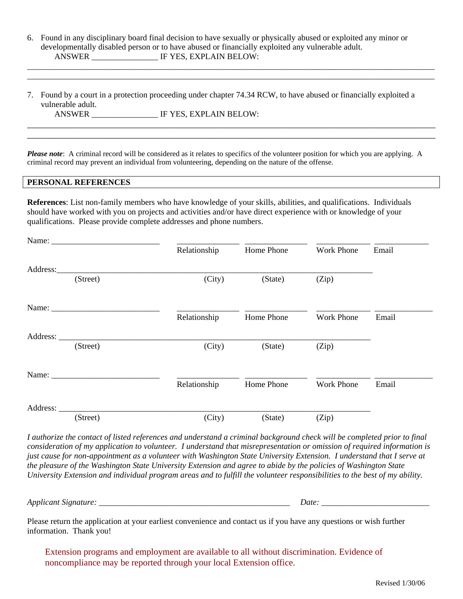|        | 6. Found in any disciplinary board final decision to have sexually or physically abused or exploited any minor or |  |
|--------|-------------------------------------------------------------------------------------------------------------------|--|
|        | developmentally disabled person or to have abused or financially exploited any vulnerable adult.                  |  |
| ANSWER | IF YES, EXPLAIN BELOW:                                                                                            |  |

\_\_\_\_\_\_\_\_\_\_\_\_\_\_\_\_\_\_\_\_\_\_\_\_\_\_\_\_\_\_\_\_\_\_\_\_\_\_\_\_\_\_\_\_\_\_\_\_\_\_\_\_\_\_\_\_\_\_\_\_\_\_\_\_\_\_\_\_\_\_\_\_\_\_\_\_\_\_\_\_\_\_\_\_\_\_\_\_\_\_\_\_\_\_\_\_\_\_ \_\_\_\_\_\_\_\_\_\_\_\_\_\_\_\_\_\_\_\_\_\_\_\_\_\_\_\_\_\_\_\_\_\_\_\_\_\_\_\_\_\_\_\_\_\_\_\_\_\_\_\_\_\_\_\_\_\_\_\_\_\_\_\_\_\_\_\_\_\_\_\_\_\_\_\_\_\_\_\_\_\_\_\_\_\_\_\_\_\_\_\_\_\_\_\_\_\_

\_\_\_\_\_\_\_\_\_\_\_\_\_\_\_\_\_\_\_\_\_\_\_\_\_\_\_\_\_\_\_\_\_\_\_\_\_\_\_\_\_\_\_\_\_\_\_\_\_\_\_\_\_\_\_\_\_\_\_\_\_\_\_\_\_\_\_\_\_\_\_\_\_\_\_\_\_\_\_\_\_\_\_\_\_\_\_\_\_\_

|                   | 7. Found by a court in a protection proceeding under chapter 74.34 RCW, to have abused or financially exploited a |  |
|-------------------|-------------------------------------------------------------------------------------------------------------------|--|
| vulnerable adult. |                                                                                                                   |  |
| ANSWER            | IF YES, EXPLAIN BELOW:                                                                                            |  |

\_\_\_\_\_\_\_\_\_\_\_\_\_\_\_\_\_\_\_\_\_\_\_\_\_\_\_\_\_\_\_\_\_\_\_\_\_\_\_\_\_\_\_\_\_\_\_\_\_\_\_\_\_\_\_\_\_\_\_\_\_\_\_\_\_\_\_\_\_\_\_\_\_\_\_\_\_\_\_\_\_\_\_\_\_\_\_\_\_\_

*Please note*: A criminal record will be considered as it relates to specifics of the volunteer position for which you are applying. A criminal record may prevent an individual from volunteering, depending on the nature of the offense.

#### **PERSONAL REFERENCES**

**References**: List non-family members who have knowledge of your skills, abilities, and qualifications. Individuals should have worked with you on projects and activities and/or have direct experience with or knowledge of your qualifications. Please provide complete addresses and phone numbers.

|                        |          | Relationship | Home Phone | <b>Work Phone</b> | Email |
|------------------------|----------|--------------|------------|-------------------|-------|
| Address: 1988 and 1988 |          |              |            |                   |       |
|                        | (Street) | (City)       | (State)    | (Zip)             |       |
|                        |          |              |            |                   |       |
|                        |          | Relationship | Home Phone | <b>Work Phone</b> | Email |
|                        |          |              |            |                   |       |
|                        | (Street) | (City)       | (State)    | (Zip)             |       |
|                        |          |              |            |                   |       |
|                        |          | Relationship | Home Phone | <b>Work Phone</b> | Email |
| Address:               |          |              |            |                   |       |
|                        | (Street) | (City)       | (State)    | (Zip)             |       |

*I authorize the contact of listed references and understand a criminal background check will be completed prior to final consideration of my application to volunteer. I understand that misrepresentation or omission of required information is just cause for non-appointment as a volunteer with Washington State University Extension. I understand that I serve at the pleasure of the Washington State University Extension and agree to abide by the policies of Washington State University Extension and individual program areas and to fulfill the volunteer responsibilities to the best of my ability.* 

*Applicant Signature: \_\_\_\_\_\_\_\_\_\_\_\_\_\_\_\_\_\_\_\_\_\_\_\_\_\_\_\_\_\_\_\_\_\_\_\_\_\_\_\_\_\_\_\_\_\_ Date: \_\_\_\_\_\_\_\_\_\_\_\_\_\_\_\_\_\_\_\_\_\_\_\_\_\_* 

Please return the application at your earliest convenience and contact us if you have any questions or wish further information. Thank you!

Extension programs and employment are available to all without discrimination. Evidence of noncompliance may be reported through your local Extension office.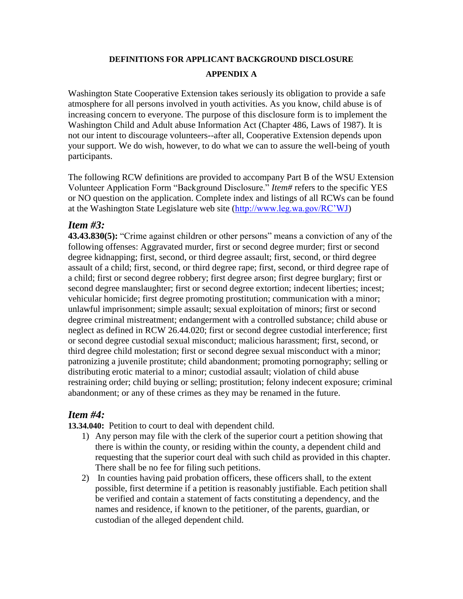# **DEFINITIONS FOR APPLICANT BACKGROUND DISCLOSURE**

### **APPENDIX A**

Washington State Cooperative Extension takes seriously its obligation to provide a safe atmosphere for all persons involved in youth activities. As you know, child abuse is of increasing concern to everyone. The purpose of this disclosure form is to implement the Washington Child and Adult abuse Information Act (Chapter 486, Laws of 1987). It is not our intent to discourage volunteers--after all, Cooperative Extension depends upon your support. We do wish, however, to do what we can to assure the well-being of youth participants.

The following RCW definitions are provided to accompany Part B of the WSU Extension Volunteer Application Form "Background Disclosure." *Item#* refers to the specific YES or NO question on the application. Complete index and listings of all RCWs can be found at the Washington State Legislature web site [\(http://www.leg.wa.gov/RC'WJ\)](http://www.leg.wa.gov/RC)

### *Item #3:*

**43.43.830(5):** "Crime against children or other persons" means a conviction of any of the following offenses: Aggravated murder, first or second degree murder; first or second degree kidnapping; first, second, or third degree assault; first, second, or third degree assault of a child; first, second, or third degree rape; first, second, or third degree rape of a child; first or second degree robbery; first degree arson; first degree burglary; first or second degree manslaughter; first or second degree extortion; indecent liberties; incest; vehicular homicide; first degree promoting prostitution; communication with a minor; unlawful imprisonment; simple assault; sexual exploitation of minors; first or second degree criminal mistreatment; endangerment with a controlled substance; child abuse or neglect as defined in RCW 26.44.020; first or second degree custodial interference; first or second degree custodial sexual misconduct; malicious harassment; first, second, or third degree child molestation; first or second degree sexual misconduct with a minor; patronizing a juvenile prostitute; child abandonment; promoting pornography; selling or distributing erotic material to a minor; custodial assault; violation of child abuse restraining order; child buying or selling; prostitution; felony indecent exposure; criminal abandonment; or any of these crimes as they may be renamed in the future.

## *Item #4:*

**13.34.040:** Petition to court to deal with dependent child.

- 1) Any person may file with the clerk of the superior court a petition showing that there is within the county, or residing within the county, a dependent child and requesting that the superior court deal with such child as provided in this chapter. There shall be no fee for filing such petitions.
- 2) In counties having paid probation officers, these officers shall, to the extent possible, first determine if a petition is reasonably justifiable. Each petition shall be verified and contain a statement of facts constituting a dependency, and the names and residence, if known to the petitioner, of the parents, guardian, or custodian of the alleged dependent child.